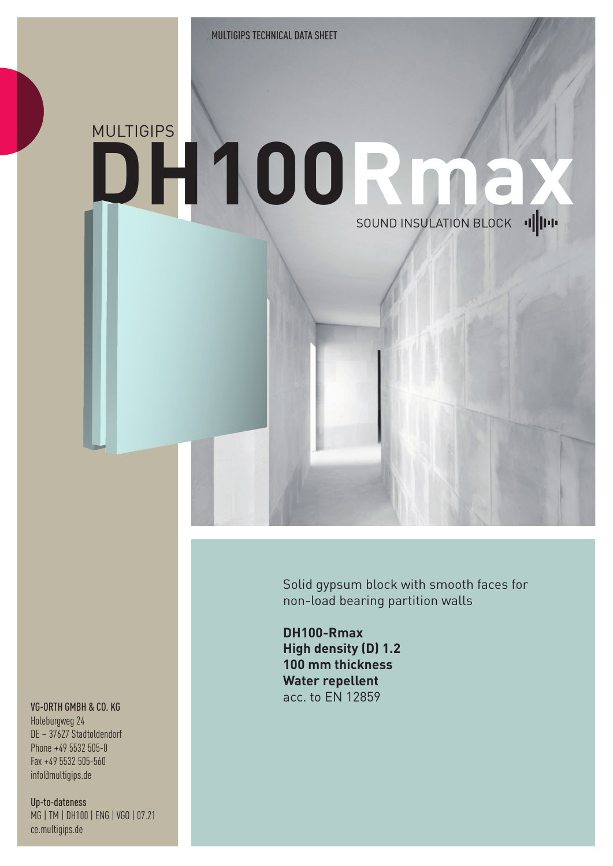## MULTIGIPS **DH100R max**SOUND INSULATION BLOCK IIIIII

Solid gypsum block with smooth faces for non-load bearing partition walls

**DH100-Rmax High density (D) 1.2 100 mm thickness Water repellent** acc. to EN 12859

## VG-ORTH GMBH & CO. KG

Holeburgweg 24 DE – 37627 Stadtoldendorf Phone +49 5532 505-0 Fax +49 5532 505-560 info@multigips.de

Up-to-dateness MG | TM | DH100 | ENG | VGO | 07.21 ce.multigips.de